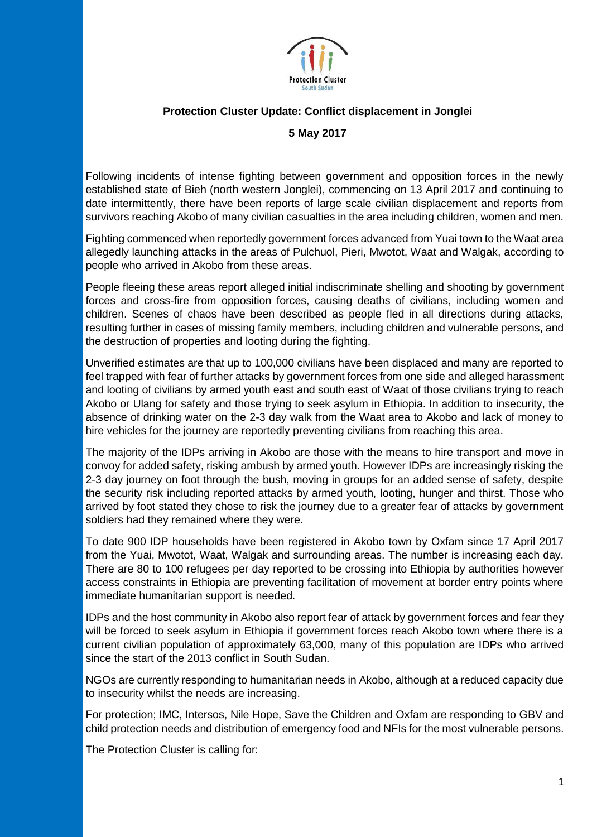

## **Protection Cluster Update: Conflict displacement in Jonglei**

## **5 May 2017**

Following incidents of intense fighting between government and opposition forces in the newly established state of Bieh (north western Jonglei), commencing on 13 April 2017 and continuing to date intermittently, there have been reports of large scale civilian displacement and reports from survivors reaching Akobo of many civilian casualties in the area including children, women and men.

Fighting commenced when reportedly government forces advanced from Yuai town to the Waat area allegedly launching attacks in the areas of Pulchuol, Pieri, Mwotot, Waat and Walgak, according to people who arrived in Akobo from these areas.

People fleeing these areas report alleged initial indiscriminate shelling and shooting by government forces and cross-fire from opposition forces, causing deaths of civilians, including women and children. Scenes of chaos have been described as people fled in all directions during attacks, resulting further in cases of missing family members, including children and vulnerable persons, and the destruction of properties and looting during the fighting.

Unverified estimates are that up to 100,000 civilians have been displaced and many are reported to feel trapped with fear of further attacks by government forces from one side and alleged harassment and looting of civilians by armed youth east and south east of Waat of those civilians trying to reach Akobo or Ulang for safety and those trying to seek asylum in Ethiopia. In addition to insecurity, the absence of drinking water on the 2-3 day walk from the Waat area to Akobo and lack of money to hire vehicles for the journey are reportedly preventing civilians from reaching this area.

The majority of the IDPs arriving in Akobo are those with the means to hire transport and move in convoy for added safety, risking ambush by armed youth. However IDPs are increasingly risking the 2-3 day journey on foot through the bush, moving in groups for an added sense of safety, despite the security risk including reported attacks by armed youth, looting, hunger and thirst. Those who arrived by foot stated they chose to risk the journey due to a greater fear of attacks by government soldiers had they remained where they were.

To date 900 IDP households have been registered in Akobo town by Oxfam since 17 April 2017 from the Yuai, Mwotot, Waat, Walgak and surrounding areas. The number is increasing each day. There are 80 to 100 refugees per day reported to be crossing into Ethiopia by authorities however access constraints in Ethiopia are preventing facilitation of movement at border entry points where immediate humanitarian support is needed.

IDPs and the host community in Akobo also report fear of attack by government forces and fear they will be forced to seek asylum in Ethiopia if government forces reach Akobo town where there is a current civilian population of approximately 63,000, many of this population are IDPs who arrived since the start of the 2013 conflict in South Sudan.

NGOs are currently responding to humanitarian needs in Akobo, although at a reduced capacity due to insecurity whilst the needs are increasing.

For protection; IMC, Intersos, Nile Hope, Save the Children and Oxfam are responding to GBV and child protection needs and distribution of emergency food and NFIs for the most vulnerable persons.

The Protection Cluster is calling for: